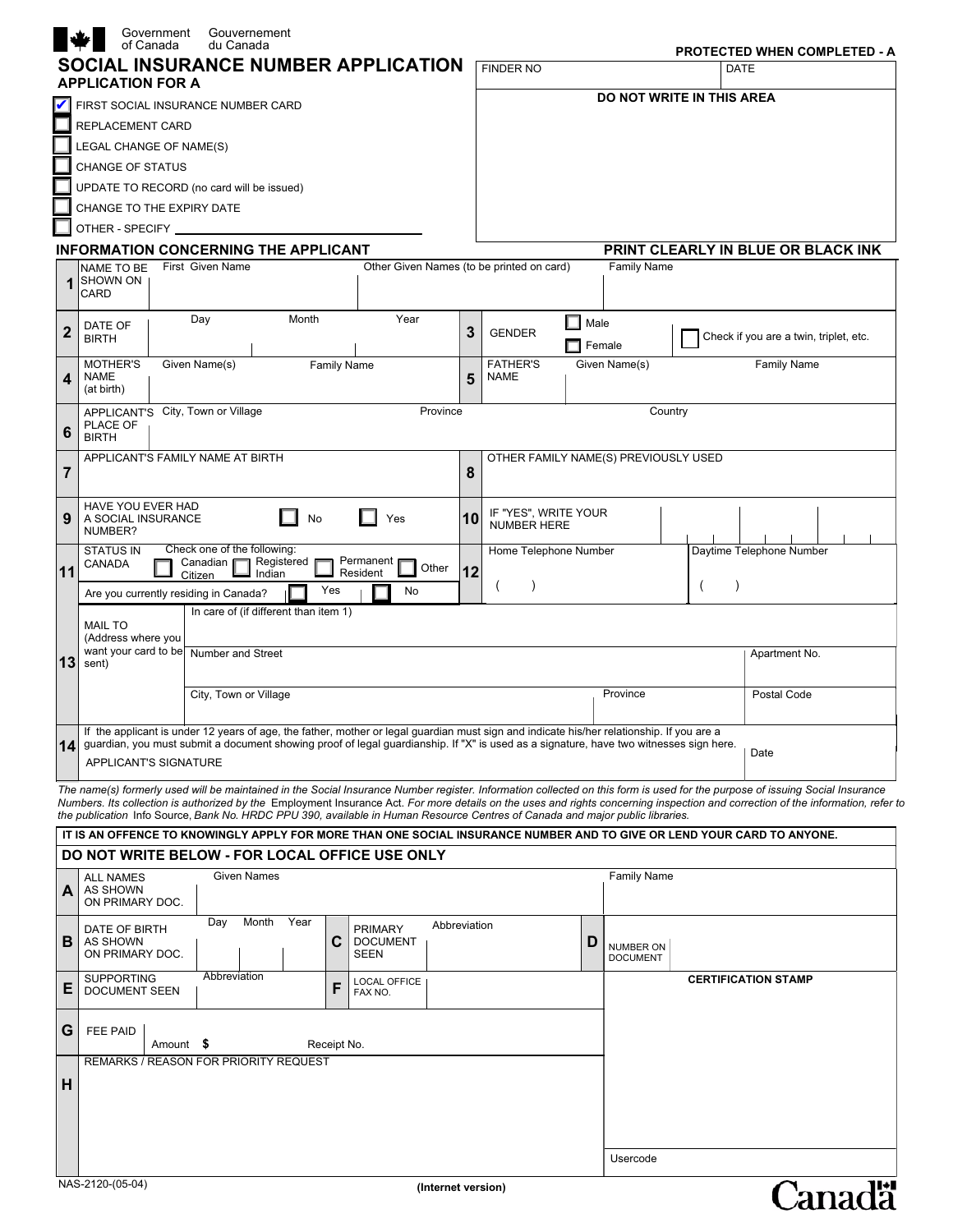|                 | Government<br>Gouvernement<br>of Canada<br>du Canada                                                                                                                                                                                                                                                                                                             |         |                                                   |           |                           |             | PROTECTED WHEN COMPLETED - A           |  |
|-----------------|------------------------------------------------------------------------------------------------------------------------------------------------------------------------------------------------------------------------------------------------------------------------------------------------------------------------------------------------------------------|---------|---------------------------------------------------|-----------|---------------------------|-------------|----------------------------------------|--|
|                 | <b>SOCIAL INSURANCE NUMBER APPLICATION</b>                                                                                                                                                                                                                                                                                                                       |         | <b>FINDER NO</b>                                  |           |                           | <b>DATE</b> |                                        |  |
|                 | <b>APPLICATION FOR A</b>                                                                                                                                                                                                                                                                                                                                         |         |                                                   |           | DO NOT WRITE IN THIS AREA |             |                                        |  |
|                 | FIRST SOCIAL INSURANCE NUMBER CARD                                                                                                                                                                                                                                                                                                                               |         |                                                   |           |                           |             |                                        |  |
|                 | REPLACEMENT CARD                                                                                                                                                                                                                                                                                                                                                 |         |                                                   |           |                           |             |                                        |  |
|                 | LEGAL CHANGE OF NAME(S)                                                                                                                                                                                                                                                                                                                                          |         |                                                   |           |                           |             |                                        |  |
|                 | <b>CHANGE OF STATUS</b>                                                                                                                                                                                                                                                                                                                                          |         |                                                   |           |                           |             |                                        |  |
|                 | UPDATE TO RECORD (no card will be issued)                                                                                                                                                                                                                                                                                                                        |         |                                                   |           |                           |             |                                        |  |
|                 | CHANGE TO THE EXPIRY DATE                                                                                                                                                                                                                                                                                                                                        |         |                                                   |           |                           |             |                                        |  |
|                 | OTHER - SPECIFY _<br><b>INFORMATION CONCERNING THE APPLICANT</b>                                                                                                                                                                                                                                                                                                 |         |                                                   |           |                           |             |                                        |  |
|                 | Other Given Names (to be printed on card)<br>First Given Name<br><b>NAME TO BE</b>                                                                                                                                                                                                                                                                               |         |                                                   |           | <b>Family Name</b>        |             | PRINT CLEARLY IN BLUE OR BLACK INK     |  |
| $\mathbf 1$     | <b>SHOWN ON</b><br>CARD                                                                                                                                                                                                                                                                                                                                          |         |                                                   |           |                           |             |                                        |  |
|                 |                                                                                                                                                                                                                                                                                                                                                                  |         |                                                   |           |                           |             |                                        |  |
| $\mathbf{2}$    | Year<br>Day<br>Month<br>DATE OF                                                                                                                                                                                                                                                                                                                                  | 3       | <b>GENDER</b>                                     | Male<br>H |                           |             |                                        |  |
|                 | <b>BIRTH</b>                                                                                                                                                                                                                                                                                                                                                     |         |                                                   |           | Female                    |             | Check if you are a twin, triplet, etc. |  |
|                 | <b>MOTHER'S</b><br>Given Name(s)<br><b>Family Name</b><br><b>NAME</b>                                                                                                                                                                                                                                                                                            |         | <b>FATHER'S</b><br><b>NAME</b>                    |           | Given Name(s)             |             | <b>Family Name</b>                     |  |
| 4               | (at birth)                                                                                                                                                                                                                                                                                                                                                       | 5       |                                                   |           |                           |             |                                        |  |
|                 | APPLICANT'S City, Town or Village<br>Province                                                                                                                                                                                                                                                                                                                    | Country |                                                   |           |                           |             |                                        |  |
| 6               | PLACE OF<br><b>BIRTH</b>                                                                                                                                                                                                                                                                                                                                         |         |                                                   |           |                           |             |                                        |  |
|                 | APPLICANT'S FAMILY NAME AT BIRTH                                                                                                                                                                                                                                                                                                                                 |         | OTHER FAMILY NAME(S) PREVIOUSLY USED              |           |                           |             |                                        |  |
| 7               |                                                                                                                                                                                                                                                                                                                                                                  | 8       |                                                   |           |                           |             |                                        |  |
|                 | HAVE YOU EVER HAD                                                                                                                                                                                                                                                                                                                                                |         |                                                   |           |                           |             |                                        |  |
| 9               | No<br>Yes<br>A SOCIAL INSURANCE                                                                                                                                                                                                                                                                                                                                  | 10      | IF "YES", WRITE YOUR<br><b>NUMBER HERE</b>        |           |                           |             |                                        |  |
|                 | NUMBER?                                                                                                                                                                                                                                                                                                                                                          |         |                                                   |           |                           |             |                                        |  |
|                 | Check one of the following:<br><b>STATUS IN</b><br>Permanent<br>Registered<br>Canadian <b>Γ</b><br>CANADA                                                                                                                                                                                                                                                        |         | Daytime Telephone Number<br>Home Telephone Number |           |                           |             |                                        |  |
|                 | Other<br>11<br>12<br>Resident<br>Indian<br>Citizen<br>$\lambda$<br>$\left($<br>$\left($                                                                                                                                                                                                                                                                          |         |                                                   |           |                           |             |                                        |  |
|                 | Yes<br>No<br>Are you currently residing in Canada?                                                                                                                                                                                                                                                                                                               |         |                                                   |           |                           |             |                                        |  |
|                 | In care of (if different than item 1)<br><b>MAIL TO</b>                                                                                                                                                                                                                                                                                                          |         |                                                   |           |                           |             |                                        |  |
|                 | (Address where you                                                                                                                                                                                                                                                                                                                                               |         |                                                   |           |                           |             |                                        |  |
| 13 <sub>l</sub> | want your card to be Number and Street<br>sent)                                                                                                                                                                                                                                                                                                                  |         |                                                   |           |                           |             | Apartment No.                          |  |
|                 | City, Town or Village                                                                                                                                                                                                                                                                                                                                            |         |                                                   |           | Province                  |             | Postal Code                            |  |
|                 |                                                                                                                                                                                                                                                                                                                                                                  |         |                                                   |           |                           |             |                                        |  |
|                 | If the applicant is under 12 years of age, the father, mother or legal quardian must sign and indicate his/her relationship. If you are a                                                                                                                                                                                                                        |         |                                                   |           |                           |             |                                        |  |
|                 | 14 guardian, you must submit a document showing proof of legal guardianship. If "X" is used as a signature, have two witnesses sign here.<br>Date                                                                                                                                                                                                                |         |                                                   |           |                           |             |                                        |  |
|                 | APPLICANT'S SIGNATURE                                                                                                                                                                                                                                                                                                                                            |         |                                                   |           |                           |             |                                        |  |
|                 | The name(s) formerly used will be maintained in the Social Insurance Number register. Information collected on this form is used for the purpose of issuing Social Insurance<br>Numbers. Its collection is authorized by the Employment Insurance Act. For more details on the uses and rights concerning inspection and correction of the information, refer to |         |                                                   |           |                           |             |                                        |  |
|                 | the publication Info Source, Bank No. HRDC PPU 390, available in Human Resource Centres of Canada and major public libraries.                                                                                                                                                                                                                                    |         |                                                   |           |                           |             |                                        |  |
|                 | IT IS AN OFFENCE TO KNOWINGLY APPLY FOR MORE THAN ONE SOCIAL INSURANCE NUMBER AND TO GIVE OR LEND YOUR CARD TO ANYONE.                                                                                                                                                                                                                                           |         |                                                   |           |                           |             |                                        |  |
|                 | DO NOT WRITE BELOW - FOR LOCAL OFFICE USE ONLY                                                                                                                                                                                                                                                                                                                   |         |                                                   |           |                           |             |                                        |  |
|                 | Given Names<br><b>ALL NAMES</b>                                                                                                                                                                                                                                                                                                                                  |         |                                                   |           | Family Name               |             |                                        |  |
| Α               | AS SHOWN<br>ON PRIMARY DOC.                                                                                                                                                                                                                                                                                                                                      |         |                                                   |           |                           |             |                                        |  |
|                 | Month<br>Year<br>Day<br>Abbreviation<br><b>PRIMARY</b><br>DATE OF BIRTH                                                                                                                                                                                                                                                                                          |         |                                                   |           |                           |             |                                        |  |
| В               | C<br><b>DOCUMENT</b><br>AS SHOWN                                                                                                                                                                                                                                                                                                                                 |         |                                                   | D         | NUMBER ON                 |             |                                        |  |
|                 | ON PRIMARY DOC.<br><b>SEEN</b>                                                                                                                                                                                                                                                                                                                                   |         |                                                   |           | <b>DOCUMENT</b>           |             |                                        |  |
| Е               | Abbreviation<br><b>SUPPORTING</b><br>LOCAL OFFICE<br>F<br><b>DOCUMENT SEEN</b><br>FAX NO.                                                                                                                                                                                                                                                                        |         |                                                   |           |                           |             | <b>CERTIFICATION STAMP</b>             |  |
|                 |                                                                                                                                                                                                                                                                                                                                                                  |         |                                                   |           |                           |             |                                        |  |
| G               | FEE PAID                                                                                                                                                                                                                                                                                                                                                         |         |                                                   |           |                           |             |                                        |  |
|                 | Amount \$<br>Receipt No.                                                                                                                                                                                                                                                                                                                                         |         |                                                   |           |                           |             |                                        |  |
|                 | <b>REMARKS / REASON FOR PRIORITY REQUEST</b>                                                                                                                                                                                                                                                                                                                     |         |                                                   |           |                           |             |                                        |  |
| н               |                                                                                                                                                                                                                                                                                                                                                                  |         |                                                   |           |                           |             |                                        |  |
|                 |                                                                                                                                                                                                                                                                                                                                                                  |         |                                                   |           |                           |             |                                        |  |
|                 |                                                                                                                                                                                                                                                                                                                                                                  |         |                                                   |           |                           |             |                                        |  |
|                 |                                                                                                                                                                                                                                                                                                                                                                  |         |                                                   |           | Usercode                  |             |                                        |  |
|                 | NAS-2120-(05-04)                                                                                                                                                                                                                                                                                                                                                 |         |                                                   |           |                           |             |                                        |  |
|                 | (Internet version)                                                                                                                                                                                                                                                                                                                                               |         |                                                   |           |                           |             | <b>Canadä</b>                          |  |